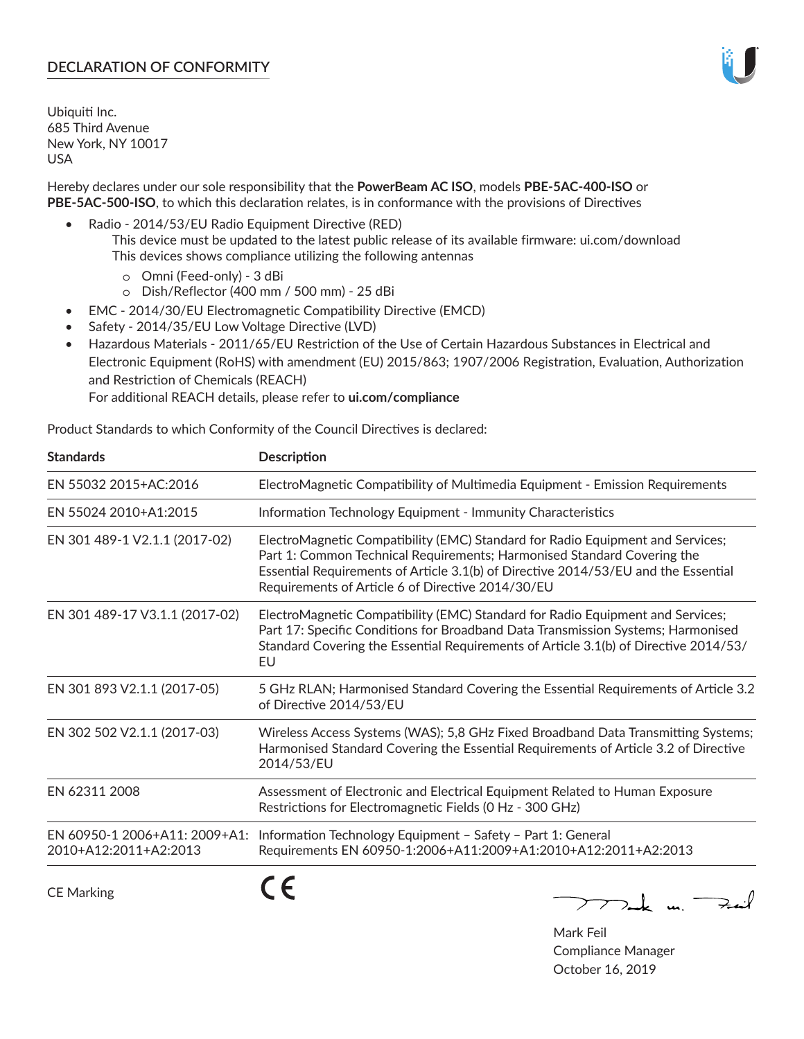# **DECLARATION OF CONFORMITY**

Ubiquiti Inc. 685 Third Avenue New York, NY 10017 USA

Hereby declares under our sole responsibility that the **PowerBeam AC ISO**, models **PBE‑5AC‑400‑ISO** or **PBE‑5AC‑500‑ISO**, to which this declaration relates, is in conformance with the provisions of Directives

- Radio 2014/53/EU Radio Equipment Directive (RED)
	- This device must be updated to the latest public release of its available firmware: ui.com/download This devices shows compliance utilizing the following antennas
		- o Omni (Feed-only) 3 dBi
		- o Dish/Reflector (400 mm / 500 mm) 25 dBi
- EMC 2014/30/EU Electromagnetic Compatibility Directive (EMCD)
- Safety 2014/35/EU Low Voltage Directive (LVD)
- Hazardous Materials 2011/65/EU Restriction of the Use of Certain Hazardous Substances in Electrical and Electronic Equipment (RoHS) with amendment (EU) 2015/863; 1907/2006 Registration, Evaluation, Authorization and Restriction of Chemicals (REACH)

For additional REACH details, please refer to **ui.com/compliance**

Product Standards to which Conformity of the Council Directives is declared:

| <b>Standards</b>                                       | <b>Description</b>                                                                                                                                                                                                                                                                                   |
|--------------------------------------------------------|------------------------------------------------------------------------------------------------------------------------------------------------------------------------------------------------------------------------------------------------------------------------------------------------------|
| EN 55032 2015+AC:2016                                  | ElectroMagnetic Compatibility of Multimedia Equipment - Emission Requirements                                                                                                                                                                                                                        |
| EN 55024 2010+A1:2015                                  | Information Technology Equipment - Immunity Characteristics                                                                                                                                                                                                                                          |
| EN 301 489-1 V2.1.1 (2017-02)                          | ElectroMagnetic Compatibility (EMC) Standard for Radio Equipment and Services;<br>Part 1: Common Technical Requirements; Harmonised Standard Covering the<br>Essential Requirements of Article 3.1(b) of Directive 2014/53/EU and the Essential<br>Requirements of Article 6 of Directive 2014/30/EU |
| EN 301 489-17 V3.1.1 (2017-02)                         | ElectroMagnetic Compatibility (EMC) Standard for Radio Equipment and Services;<br>Part 17: Specific Conditions for Broadband Data Transmission Systems; Harmonised<br>Standard Covering the Essential Requirements of Article 3.1(b) of Directive 2014/53/<br>EU                                     |
| EN 301 893 V2.1.1 (2017-05)                            | 5 GHz RLAN; Harmonised Standard Covering the Essential Requirements of Article 3.2<br>of Directive 2014/53/EU                                                                                                                                                                                        |
| EN 302 502 V2.1.1 (2017-03)                            | Wireless Access Systems (WAS); 5,8 GHz Fixed Broadband Data Transmitting Systems;<br>Harmonised Standard Covering the Essential Requirements of Article 3.2 of Directive<br>2014/53/EU                                                                                                               |
| EN 62311 2008                                          | Assessment of Electronic and Electrical Equipment Related to Human Exposure<br>Restrictions for Electromagnetic Fields (0 Hz - 300 GHz)                                                                                                                                                              |
| EN 60950-1 2006+A11: 2009+A1:<br>2010+A12:2011+A2:2013 | Information Technology Equipment - Safety - Part 1: General<br>Requirements EN 60950-1:2006+A11:2009+A1:2010+A12:2011+A2:2013                                                                                                                                                                        |
|                                                        | - -                                                                                                                                                                                                                                                                                                  |

CE Marking

CE

 $\rightarrow$ 

Mark Feil Compliance Manager October 16, 2019

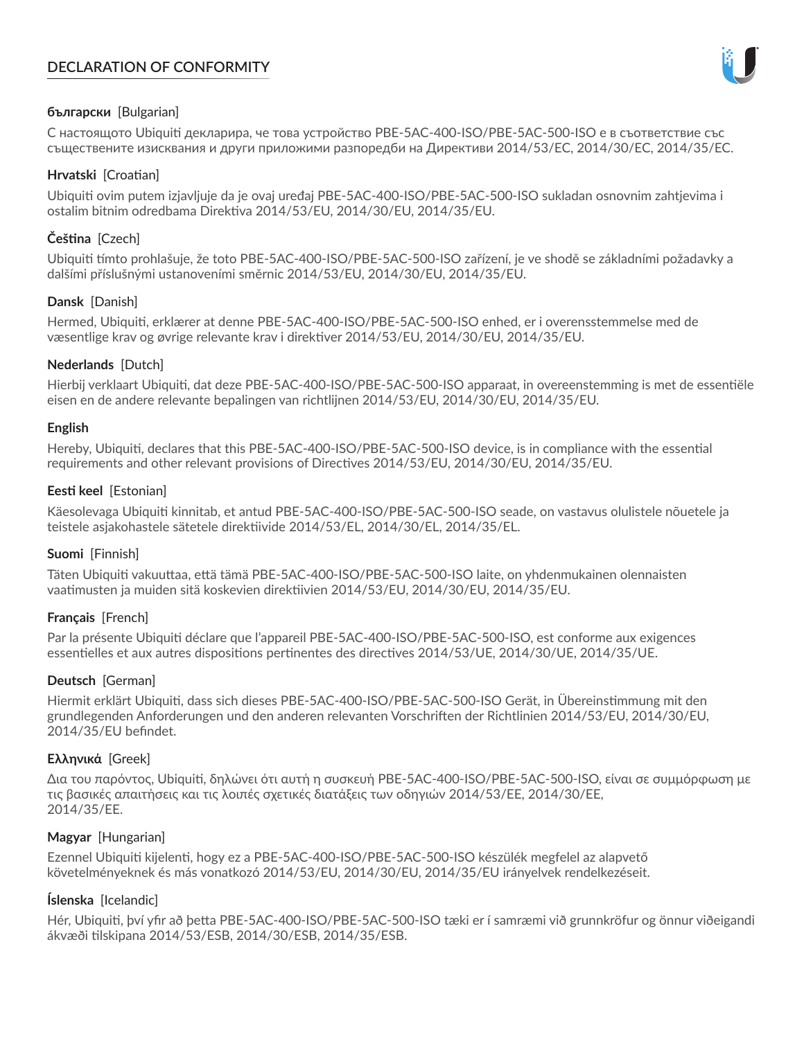# **DECLARATION OF CONFORMITY**



# **български** [Bulgarian]

С настоящото Ubiquiti декларира, че това устройство PBE-5AC-400-ISO/PBE-5AC-500-ISO е в съответствие със съществените изисквания и други приложими разпоредби на Директиви 2014/53/EC, 2014/30/ЕС, 2014/35/ЕС.

## **Hrvatski** [Croatian]

Ubiquiti ovim putem izjavljuje da je ovaj uređaj PBE-5AC-400-ISO/PBE-5AC-500-ISO sukladan osnovnim zahtjevima i ostalim bitnim odredbama Direktiva 2014/53/EU, 2014/30/EU, 2014/35/EU.

# **Čeština** [Czech]

Ubiquiti tímto prohlašuje, že toto PBE-5AC-400-ISO/PBE-5AC-500-ISO zařízení, je ve shodě se základními požadavky a dalšími příslušnými ustanoveními směrnic 2014/53/EU, 2014/30/EU, 2014/35/EU.

## **Dansk** [Danish]

Hermed, Ubiquiti, erklærer at denne PBE-5AC-400-ISO/PBE-5AC-500-ISO enhed, er i overensstemmelse med de væsentlige krav og øvrige relevante krav i direktiver 2014/53/EU, 2014/30/EU, 2014/35/EU.

## **Nederlands** [Dutch]

Hierbij verklaart Ubiquiti, dat deze PBE-5AC-400-ISO/PBE-5AC-500-ISO apparaat, in overeenstemming is met de essentiële eisen en de andere relevante bepalingen van richtlijnen 2014/53/EU, 2014/30/EU, 2014/35/EU.

### **English**

Hereby, Ubiquiti, declares that this PBE-5AC-400-ISO/PBE-5AC-500-ISO device, is in compliance with the essential requirements and other relevant provisions of Directives 2014/53/EU, 2014/30/EU, 2014/35/EU.

## **Eesti keel** [Estonian]

Käesolevaga Ubiquiti kinnitab, et antud PBE-5AC-400-ISO/PBE-5AC-500-ISO seade, on vastavus olulistele nõuetele ja teistele asjakohastele sätetele direktiivide 2014/53/EL, 2014/30/EL, 2014/35/EL.

# **Suomi** [Finnish]

Täten Ubiquiti vakuuttaa, että tämä PBE-5AC-400-ISO/PBE-5AC-500-ISO laite, on yhdenmukainen olennaisten vaatimusten ja muiden sitä koskevien direktiivien 2014/53/EU, 2014/30/EU, 2014/35/EU.

# **Français** [French]

Par la présente Ubiquiti déclare que l'appareil PBE-5AC-400-ISO/PBE-5AC-500-ISO, est conforme aux exigences essentielles et aux autres dispositions pertinentes des directives 2014/53/UE, 2014/30/UE, 2014/35/UE.

# **Deutsch** [German]

Hiermit erklärt Ubiquiti, dass sich dieses PBE-5AC-400-ISO/PBE-5AC-500-ISO Gerät, in Übereinstimmung mit den grundlegenden Anforderungen und den anderen relevanten Vorschriften der Richtlinien 2014/53/EU, 2014/30/EU, 2014/35/EU befindet.

### **Ελληνικά** [Greek]

Δια του παρόντος, Ubiquiti, δηλώνει ότι αυτή η συσκευή PBE-5AC-400-ISO/PBE-5AC-500-ISO, είναι σε συμμόρφωση με τις βασικές απαιτήσεις και τις λοιπές σχετικές διατάξεις των οδηγιών 2014/53/EE, 2014/30/EE, 2014/35/EE.

# **Magyar** [Hungarian]

Ezennel Ubiquiti kijelenti, hogy ez a PBE-5AC-400-ISO/PBE-5AC-500-ISO készülék megfelel az alapvető követelményeknek és más vonatkozó 2014/53/EU, 2014/30/EU, 2014/35/EU irányelvek rendelkezéseit.

# **Íslenska** [Icelandic]

Hér, Ubiquiti, því yfir að þetta PBE-5AC-400-ISO/PBE-5AC-500-ISO tæki er í samræmi við grunnkröfur og önnur viðeigandi ákvæði tilskipana 2014/53/ESB, 2014/30/ESB, 2014/35/ESB.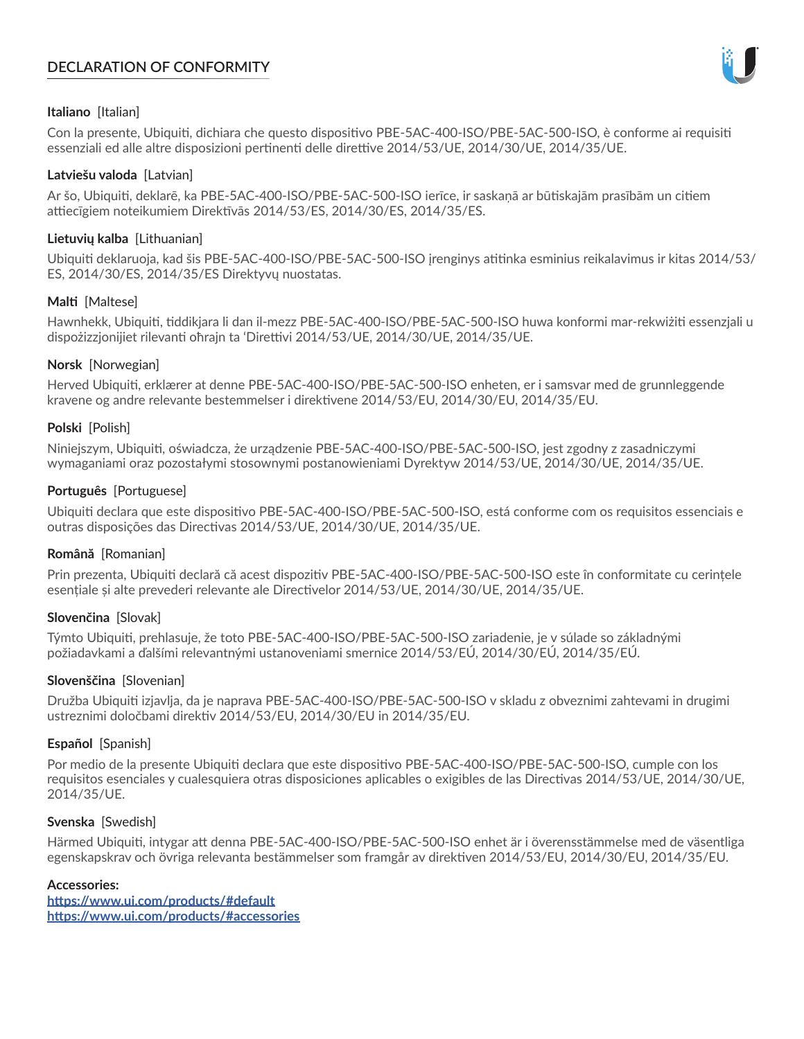# **DECLARATION OF CONFORMITY**



## **Italiano** [Italian]

Con la presente, Ubiquiti, dichiara che questo dispositivo PBE-5AC-400-ISO/PBE-5AC-500-ISO, è conforme ai requisiti essenziali ed alle altre disposizioni pertinenti delle direttive 2014/53/UE, 2014/30/UE, 2014/35/UE.

### **Latviešu valoda** [Latvian]

Ar šo, Ubiquiti, deklarē, ka PBE-5AC-400-ISO/PBE-5AC-500-ISO ierīce, ir saskaņā ar būtiskajām prasībām un citiem attiecīgiem noteikumiem Direktīvās 2014/53/ES, 2014/30/ES, 2014/35/ES.

### **Lietuvių kalba** [Lithuanian]

Ubiquiti deklaruoja, kad šis PBE-5AC-400-ISO/PBE-5AC-500-ISO įrenginys atitinka esminius reikalavimus ir kitas 2014/53/ ES, 2014/30/ES, 2014/35/ES Direktyvų nuostatas.

## **Malti** [Maltese]

Hawnhekk, Ubiquiti, tiddikjara li dan il-mezz PBE-5AC-400-ISO/PBE-5AC-500-ISO huwa konformi mar-rekwiżiti essenzjali u dispożizzjonijiet rilevanti oħrajn ta 'Direttivi 2014/53/UE, 2014/30/UE, 2014/35/UE.

## **Norsk** [Norwegian]

Herved Ubiquiti, erklærer at denne PBE-5AC-400-ISO/PBE-5AC-500-ISO enheten, er i samsvar med de grunnleggende kravene og andre relevante bestemmelser i direktivene 2014/53/EU, 2014/30/EU, 2014/35/EU.

## **Polski** [Polish]

Niniejszym, Ubiquiti, oświadcza, że urządzenie PBE-5AC-400-ISO/PBE-5AC-500-ISO, jest zgodny z zasadniczymi wymaganiami oraz pozostałymi stosownymi postanowieniami Dyrektyw 2014/53/UE, 2014/30/UE, 2014/35/UE.

## **Português** [Portuguese]

Ubiquiti declara que este dispositivo PBE-5AC-400-ISO/PBE-5AC-500-ISO, está conforme com os requisitos essenciais e outras disposições das Directivas 2014/53/UE, 2014/30/UE, 2014/35/UE.

# **Română** [Romanian]

Prin prezenta, Ubiquiti declară că acest dispozitiv PBE-5AC-400-ISO/PBE-5AC-500-ISO este în conformitate cu cerințele esențiale și alte prevederi relevante ale Directivelor 2014/53/UE, 2014/30/UE, 2014/35/UE.

# **Slovenčina** [Slovak]

Týmto Ubiquiti, prehlasuje, že toto PBE-5AC-400-ISO/PBE-5AC-500-ISO zariadenie, je v súlade so základnými požiadavkami a ďalšími relevantnými ustanoveniami smernice 2014/53/EÚ, 2014/30/EÚ, 2014/35/EÚ.

### **Slovenščina** [Slovenian]

Družba Ubiquiti izjavlja, da je naprava PBE-5AC-400-ISO/PBE-5AC-500-ISO v skladu z obveznimi zahtevami in drugimi ustreznimi določbami direktiv 2014/53/EU, 2014/30/EU in 2014/35/EU.

### **Español** [Spanish]

Por medio de la presente Ubiquiti declara que este dispositivo PBE-5AC-400-ISO/PBE-5AC-500-ISO, cumple con los requisitos esenciales y cualesquiera otras disposiciones aplicables o exigibles de las Directivas 2014/53/UE, 2014/30/UE, 2014/35/UE.

## **Svenska** [Swedish]

Härmed Ubiquiti, intygar att denna PBE-5AC-400-ISO/PBE-5AC-500-ISO enhet är i överensstämmelse med de väsentliga egenskapskrav och övriga relevanta bestämmelser som framgår av direktiven 2014/53/EU, 2014/30/EU, 2014/35/EU.

### **Accessories:**

**<https://www.ui.com/products/#default> [https://www.ui.com/products/#accessories](https://ui.com/products/#accessories)**